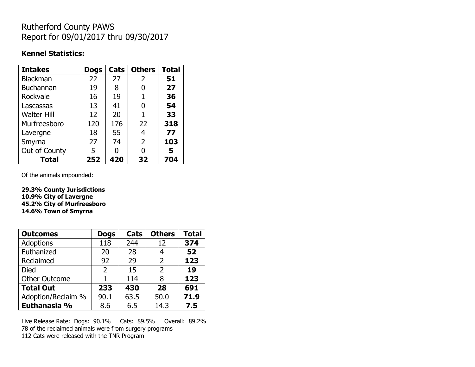## Rutherford County PAWS Report for 09/01/2017 thru 09/30/2017

### **Kennel Statistics:**

| <b>Intakes</b>     | <b>Dogs</b> | Cats | <b>Others</b> | <b>Total</b> |
|--------------------|-------------|------|---------------|--------------|
| Blackman           | 22          | 27   | 2             | 51           |
| Buchannan          | 19          | 8    | 0             | 27           |
| Rockvale           | 16          | 19   |               | 36           |
| Lascassas          | 13          | 41   | 0             | 54           |
| <b>Walter Hill</b> | 12          | 20   | 1             | 33           |
| Murfreesboro       | 120         | 176  | 22            | 318          |
| Lavergne           | 18          | 55   | 4             | 77           |
| Smyrna             | 27          | 74   | 2             | 103          |
| Out of County      | 5           | O    | O             | 5            |
| <b>Total</b>       | 252         | 420  | 32            | 704          |

Of the animals impounded:

**29.3% County Jurisdictions 10.9% City of Lavergne 45.2% City of Murfreesboro 14.6% Town of Smyrna**

| <b>Outcomes</b>      | <b>Dogs</b>    | Cats | <b>Others</b>  | <b>Total</b> |
|----------------------|----------------|------|----------------|--------------|
| <b>Adoptions</b>     | 118            | 244  | 12             | 374          |
| Euthanized           | 20             | 28   | 4              | 52           |
| Reclaimed            | 92             | 29   | $\overline{2}$ | 123          |
| <b>Died</b>          | $\overline{2}$ | 15   | 2              | 19           |
| <b>Other Outcome</b> |                | 114  | 8              | 123          |
| <b>Total Out</b>     | 233            | 430  | 28             | 691          |
| Adoption/Reclaim %   | 90.1           | 63.5 | 50.0           | 71.9         |
| Euthanasia %         | 8.6            | 6.5  | 14.3           | 7.5          |

Live Release Rate: Dogs: 90.1% Cats: 89.5% Overall: 89.2% 78 of the reclaimed animals were from surgery programs 112 Cats were released with the TNR Program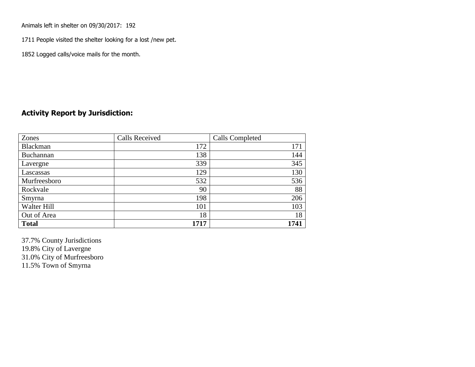Animals left in shelter on 09/30/2017: 192

1711 People visited the shelter looking for a lost /new pet.

1852 Logged calls/voice mails for the month.

#### **Activity Report by Jurisdiction:**

| Zones           | <b>Calls Received</b> | Calls Completed |
|-----------------|-----------------------|-----------------|
| <b>Blackman</b> | 172                   | 171             |
| Buchannan       | 138                   | 144             |
| Lavergne        | 339                   | 345             |
| Lascassas       | 129                   | 130             |
| Murfreesboro    | 532                   | 536             |
| Rockvale        | 90                    | 88              |
| Smyrna          | 198                   | 206             |
| Walter Hill     | 101                   | 103             |
| Out of Area     | 18                    | 18              |
| <b>Total</b>    | 1717                  | 1741            |

37.7% County Jurisdictions 19.8% City of Lavergne 31.0% City of Murfreesboro 11.5% Town of Smyrna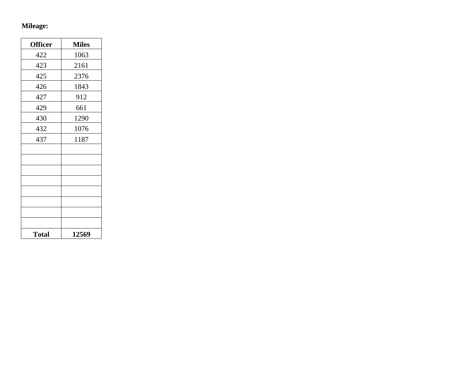# **Mileage:**

| <b>Officer</b> | <b>Miles</b> |
|----------------|--------------|
| 422            | 1063         |
| 423            | 2161         |
| 425            | 2376         |
| 426            | 1843         |
| 427            | 912          |
| 429            | 661          |
| 430            | 1290         |
| 432            | 1076         |
| 437            | 1187         |
|                |              |
|                |              |
|                |              |
|                |              |
|                |              |
|                |              |
|                |              |
|                |              |
| <b>Total</b>   | 12569        |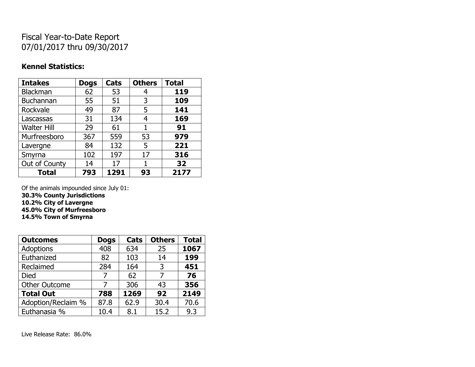## Fiscal Year-to-Date Report 07/01/2017 thru 09/30/2017

#### **Kennel Statistics:**

| <b>Intakes</b>     | <b>Dogs</b> | Cats | <b>Others</b> | <b>Total</b> |
|--------------------|-------------|------|---------------|--------------|
| Blackman           | 62          | 53   | 4             | 119          |
| Buchannan          | 55          | 51   | 3             | 109          |
| Rockvale           | 49          | 87   | 5             | 141          |
| Lascassas          | 31          | 134  | 4             | 169          |
| <b>Walter Hill</b> | 29          | 61   |               | 91           |
| Murfreesboro       | 367         | 559  | 53            | 979          |
| Lavergne           | 84          | 132  | 5             | 221          |
| Smyrna             | 102         | 197  | 17            | 316          |
| Out of County      | 14          | 17   | 1             | 32           |
| <b>Total</b>       | 793         | 1291 | 93            | 2177         |

Of the animals impounded since July 01: **30.3% County Jurisdictions**

**10.2% City of Lavergne**

**45.0% City of Murfreesboro**

**14.5% Town of Smyrna**

| <b>Outcomes</b>      | <b>Dogs</b> | Cats | <b>Others</b> | <b>Total</b> |
|----------------------|-------------|------|---------------|--------------|
| Adoptions            | 408         | 634  | 25            | 1067         |
| Euthanized           | 82          | 103  | 14            | 199          |
| Reclaimed            | 284         | 164  | 3             | 451          |
| <b>Died</b>          | 7           | 62   | 7             | 76           |
| <b>Other Outcome</b> |             | 306  | 43            | 356          |
| <b>Total Out</b>     | 788         | 1269 | 92            | 2149         |
| Adoption/Reclaim %   | 87.8        | 62.9 | 30.4          | 70.6         |
| Euthanasia %         | 10.4        | 8.1  | 15.2          | 9.3          |

Live Release Rate: 86.0%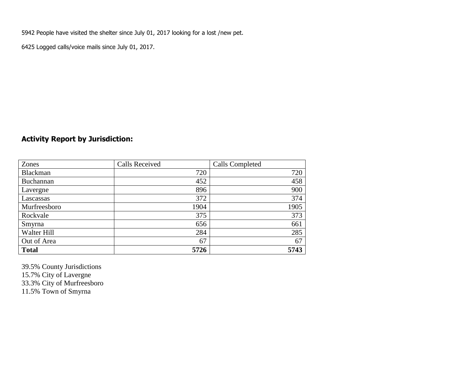5942 People have visited the shelter since July 01, 2017 looking for a lost /new pet.

6425 Logged calls/voice mails since July 01, 2017.

### **Activity Report by Jurisdiction:**

| Zones           | <b>Calls Received</b> | <b>Calls Completed</b> |
|-----------------|-----------------------|------------------------|
| <b>Blackman</b> | 720                   | 720                    |
| Buchannan       | 452                   | 458                    |
| Lavergne        | 896                   | 900                    |
| Lascassas       | 372                   | 374                    |
| Murfreesboro    | 1904                  | 1905                   |
| Rockvale        | 375                   | 373                    |
| Smyrna          | 656                   | 661                    |
| Walter Hill     | 284                   | 285                    |
| Out of Area     | 67                    | 67                     |
| <b>Total</b>    | 5726                  | 5743                   |

39.5% County Jurisdictions 15.7% City of Lavergne 33.3% City of Murfreesboro

11.5% Town of Smyrna